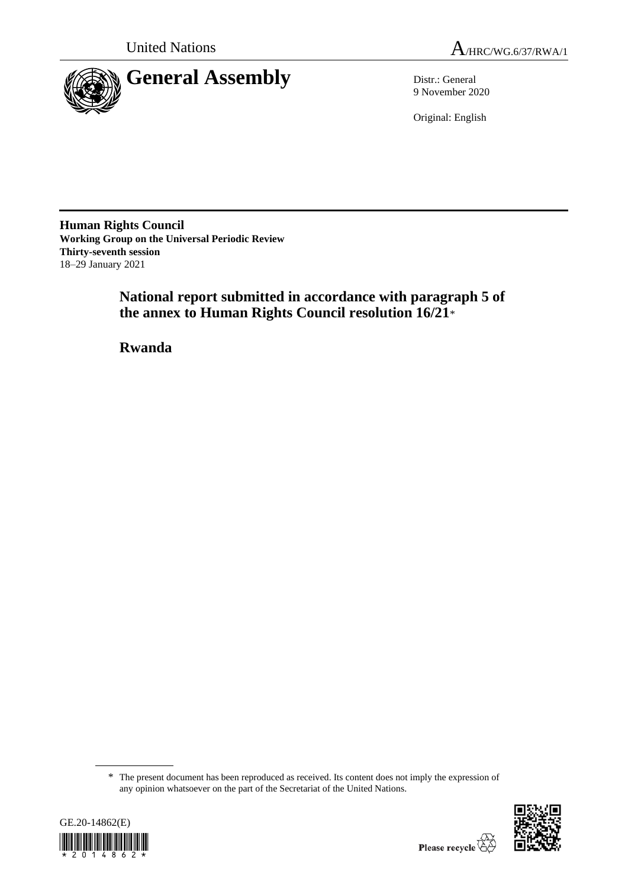

9 November 2020

Original: English

**Human Rights Council Working Group on the Universal Periodic Review Thirty-seventh session** 18–29 January 2021

> **National report submitted in accordance with paragraph 5 of the annex to Human Rights Council resolution 16/21**\*

**Rwanda**

<sup>\*</sup> The present document has been reproduced as received. Its content does not imply the expression of any opinion whatsoever on the part of the Secretariat of the United Nations.



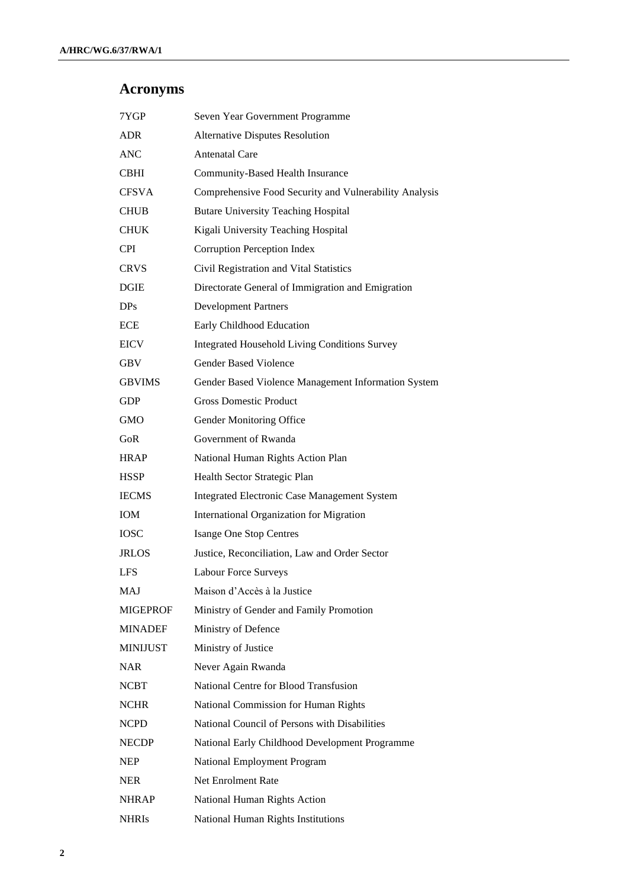# **Acronyms**

| 7YGP            | Seven Year Government Programme                        |
|-----------------|--------------------------------------------------------|
| ADR.            | <b>Alternative Disputes Resolution</b>                 |
| <b>ANC</b>      | <b>Antenatal Care</b>                                  |
| <b>CBHI</b>     | Community-Based Health Insurance                       |
| <b>CFSVA</b>    | Comprehensive Food Security and Vulnerability Analysis |
| <b>CHUB</b>     | <b>Butare University Teaching Hospital</b>             |
| <b>CHUK</b>     | Kigali University Teaching Hospital                    |
| <b>CPI</b>      | Corruption Perception Index                            |
| <b>CRVS</b>     | Civil Registration and Vital Statistics                |
| <b>DGIE</b>     | Directorate General of Immigration and Emigration      |
| DP <sub>s</sub> | <b>Development Partners</b>                            |
| <b>ECE</b>      | Early Childhood Education                              |
| <b>EICV</b>     | <b>Integrated Household Living Conditions Survey</b>   |
| <b>GBV</b>      | <b>Gender Based Violence</b>                           |
| <b>GBVIMS</b>   | Gender Based Violence Management Information System    |
| <b>GDP</b>      | <b>Gross Domestic Product</b>                          |
| <b>GMO</b>      | Gender Monitoring Office                               |
| GoR             | Government of Rwanda                                   |
| <b>HRAP</b>     | National Human Rights Action Plan                      |
| <b>HSSP</b>     | Health Sector Strategic Plan                           |
| <b>IECMS</b>    | <b>Integrated Electronic Case Management System</b>    |
| <b>IOM</b>      | International Organization for Migration               |
| <b>IOSC</b>     | <b>Isange One Stop Centres</b>                         |
| <b>JRLOS</b>    | Justice, Reconciliation, Law and Order Sector          |
| <b>LFS</b>      | <b>Labour Force Surveys</b>                            |
| MAJ             | Maison d'Accès à la Justice                            |
| <b>MIGEPROF</b> | Ministry of Gender and Family Promotion                |
| <b>MINADEF</b>  | Ministry of Defence                                    |
| <b>MINIJUST</b> | Ministry of Justice                                    |
| NAR.            | Never Again Rwanda                                     |
| <b>NCBT</b>     | National Centre for Blood Transfusion                  |
| <b>NCHR</b>     | National Commission for Human Rights                   |
| <b>NCPD</b>     | National Council of Persons with Disabilities          |
| <b>NECDP</b>    | National Early Childhood Development Programme         |
| <b>NEP</b>      | National Employment Program                            |
| <b>NER</b>      | Net Enrolment Rate                                     |
| <b>NHRAP</b>    | National Human Rights Action                           |
| <b>NHRIs</b>    | National Human Rights Institutions                     |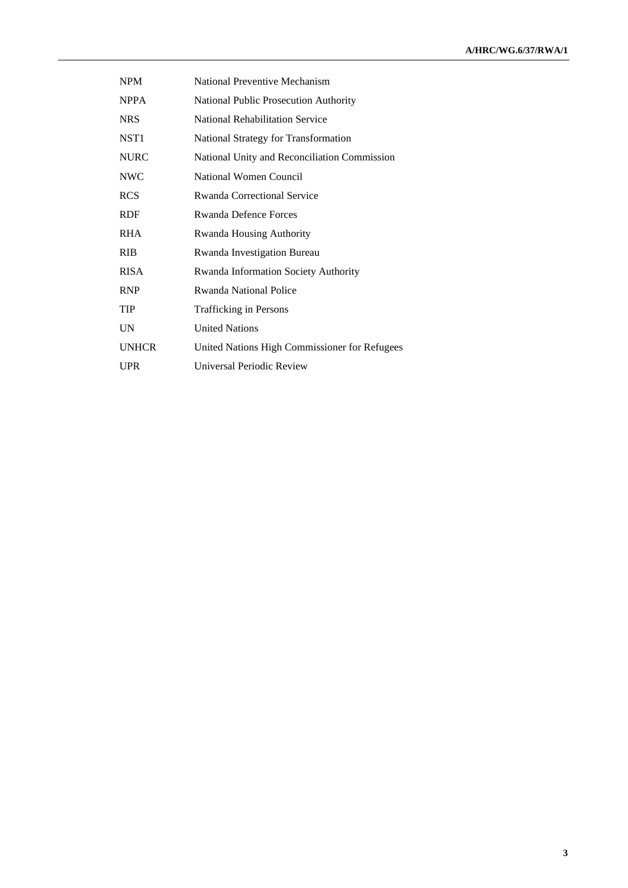| <b>NPM</b>   | National Preventive Mechanism                 |
|--------------|-----------------------------------------------|
| <b>NPPA</b>  | National Public Prosecution Authority         |
| <b>NRS</b>   | <b>National Rehabilitation Service</b>        |
| NST1         | National Strategy for Transformation          |
| <b>NURC</b>  | National Unity and Reconciliation Commission  |
| <b>NWC</b>   | National Women Council                        |
| <b>RCS</b>   | Rwanda Correctional Service                   |
| RDF          | <b>Rwanda Defence Forces</b>                  |
| <b>RHA</b>   | <b>Rwanda Housing Authority</b>               |
| <b>RIB</b>   | Rwanda Investigation Bureau                   |
| <b>RISA</b>  | Rwanda Information Society Authority          |
| <b>RNP</b>   | Rwanda National Police                        |
| TIP          | Trafficking in Persons                        |
| UN           | <b>United Nations</b>                         |
| <b>UNHCR</b> | United Nations High Commissioner for Refugees |
| UPR          | Universal Periodic Review                     |
|              |                                               |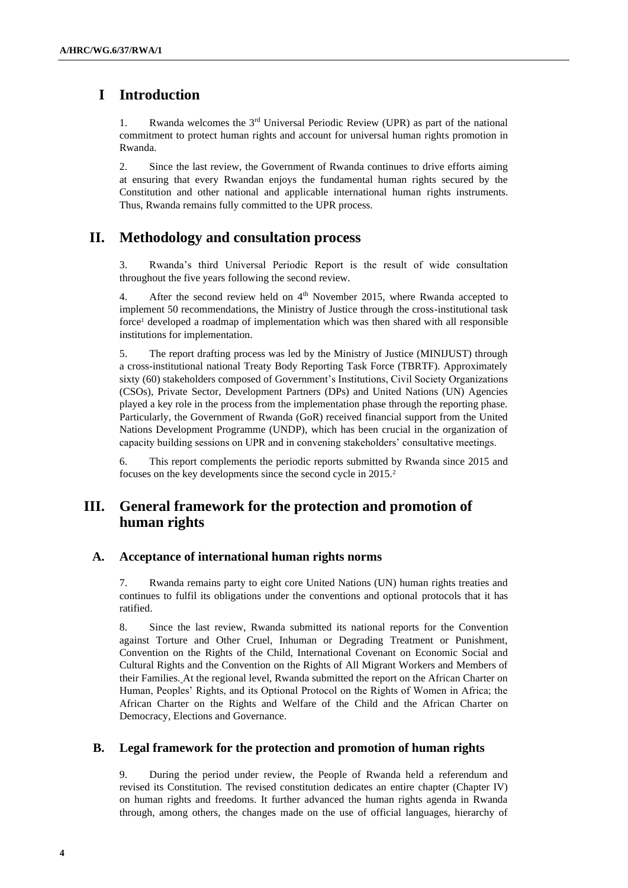# **I Introduction**

1. Rwanda welcomes the 3rd Universal Periodic Review (UPR) as part of the national commitment to protect human rights and account for universal human rights promotion in Rwanda.

2. Since the last review, the Government of Rwanda continues to drive efforts aiming at ensuring that every Rwandan enjoys the fundamental human rights secured by the Constitution and other national and applicable international human rights instruments. Thus, Rwanda remains fully committed to the UPR process.

## **II. Methodology and consultation process**

3. Rwanda's third Universal Periodic Report is the result of wide consultation throughout the five years following the second review.

4. After the second review held on 4<sup>th</sup> November 2015, where Rwanda accepted to implement 50 recommendations, the Ministry of Justice through the cross-institutional task force<sup>1</sup> developed a roadmap of implementation which was then shared with all responsible institutions for implementation.

5. The report drafting process was led by the Ministry of Justice (MINIJUST) through a cross-institutional national Treaty Body Reporting Task Force (TBRTF). Approximately sixty (60) stakeholders composed of Government's Institutions, Civil Society Organizations (CSOs), Private Sector, Development Partners (DPs) and United Nations (UN) Agencies played a key role in the process from the implementation phase through the reporting phase. Particularly, the Government of Rwanda (GoR) received financial support from the United Nations Development Programme (UNDP), which has been crucial in the organization of capacity building sessions on UPR and in convening stakeholders' consultative meetings.

6. This report complements the periodic reports submitted by Rwanda since 2015 and focuses on the key developments since the second cycle in 2015.<sup>2</sup>

## **III. General framework for the protection and promotion of human rights**

#### **A. Acceptance of international human rights norms**

7. Rwanda remains party to eight core United Nations (UN) human rights treaties and continues to fulfil its obligations under the conventions and optional protocols that it has ratified.

8. Since the last review, Rwanda submitted its national reports for the Convention against Torture and Other Cruel, Inhuman or Degrading Treatment or Punishment, Convention on the Rights of the Child, International Covenant on Economic Social and Cultural Rights and the Convention on the Rights of All Migrant Workers and Members of their Families. At the regional level, Rwanda submitted the report on the African Charter on Human, Peoples' Rights, and its Optional Protocol on the Rights of Women in Africa; the African Charter on the Rights and Welfare of the Child and the African Charter on Democracy, Elections and Governance.

#### **B. Legal framework for the protection and promotion of human rights**

9. During the period under review, the People of Rwanda held a referendum and revised its Constitution. The revised constitution dedicates an entire chapter (Chapter IV) on human rights and freedoms. It further advanced the human rights agenda in Rwanda through, among others, the changes made on the use of official languages, hierarchy of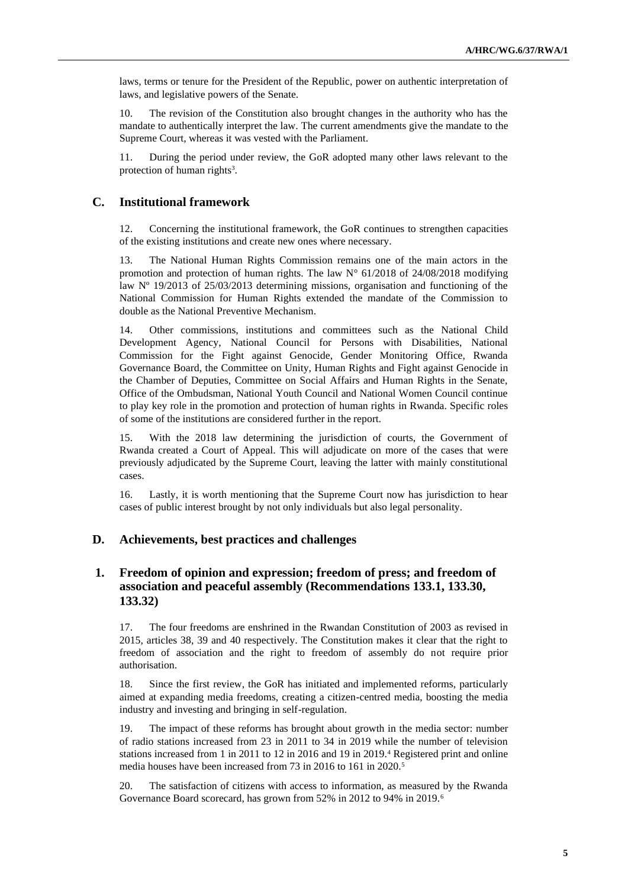laws, terms or tenure for the President of the Republic, power on authentic interpretation of laws, and legislative powers of the Senate.

10. The revision of the Constitution also brought changes in the authority who has the mandate to authentically interpret the law. The current amendments give the mandate to the Supreme Court, whereas it was vested with the Parliament.

11. During the period under review, the GoR adopted many other laws relevant to the protection of human rights<sup>3</sup>.

### **C. Institutional framework**

12. Concerning the institutional framework, the GoR continues to strengthen capacities of the existing institutions and create new ones where necessary.

13. The National Human Rights Commission remains one of the main actors in the promotion and protection of human rights. The law  $N^{\circ}$  61/2018 of 24/08/2018 modifying law Nº 19/2013 of 25/03/2013 determining missions, organisation and functioning of the National Commission for Human Rights extended the mandate of the Commission to double as the National Preventive Mechanism.

14. Other commissions, institutions and committees such as the National Child Development Agency, National Council for Persons with Disabilities, National Commission for the Fight against Genocide, Gender Monitoring Office, Rwanda Governance Board, the Committee on Unity, Human Rights and Fight against Genocide in the Chamber of Deputies, Committee on Social Affairs and Human Rights in the Senate, Office of the Ombudsman, National Youth Council and National Women Council continue to play key role in the promotion and protection of human rights in Rwanda. Specific roles of some of the institutions are considered further in the report.

15. With the 2018 law determining the jurisdiction of courts, the Government of Rwanda created a Court of Appeal. This will adjudicate on more of the cases that were previously adjudicated by the Supreme Court, leaving the latter with mainly constitutional cases.

16. Lastly, it is worth mentioning that the Supreme Court now has jurisdiction to hear cases of public interest brought by not only individuals but also legal personality.

### **D. Achievements, best practices and challenges**

### **1. Freedom of opinion and expression; freedom of press; and freedom of association and peaceful assembly (Recommendations 133.1, 133.30, 133.32)**

17. The four freedoms are enshrined in the Rwandan Constitution of 2003 as revised in 2015, articles 38, 39 and 40 respectively. The Constitution makes it clear that the right to freedom of association and the right to freedom of assembly do not require prior authorisation.

18. Since the first review, the GoR has initiated and implemented reforms, particularly aimed at expanding media freedoms, creating a citizen-centred media, boosting the media industry and investing and bringing in self-regulation.

19. The impact of these reforms has brought about growth in the media sector: number of radio stations increased from 23 in 2011 to 34 in 2019 while the number of television stations increased from 1 in 2011 to 12 in 2016 and 19 in 2019.<sup>4</sup> Registered print and online media houses have been increased from 73 in 2016 to 161 in 2020.<sup>5</sup>

20. The satisfaction of citizens with access to information, as measured by the Rwanda Governance Board scorecard, has grown from 52% in 2012 to 94% in 2019.6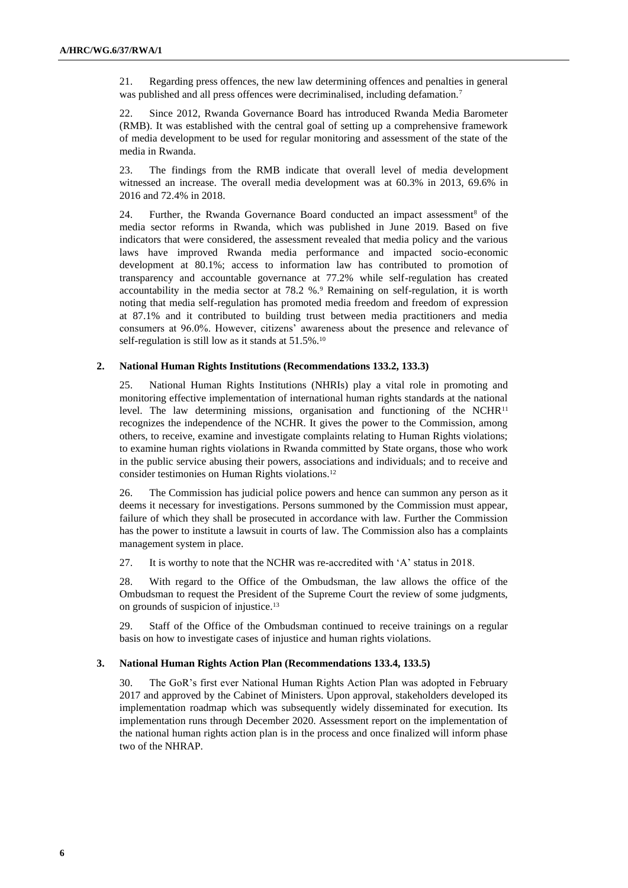21. Regarding press offences, the new law determining offences and penalties in general was published and all press offences were decriminalised, including defamation.<sup>7</sup>

22. Since 2012, Rwanda Governance Board has introduced Rwanda Media Barometer (RMB). It was established with the central goal of setting up a comprehensive framework of media development to be used for regular monitoring and assessment of the state of the media in Rwanda.

23. The findings from the RMB indicate that overall level of media development witnessed an increase. The overall media development was at 60.3% in 2013, 69.6% in 2016 and 72.4% in 2018.

24. Further, the Rwanda Governance Board conducted an impact assessment<sup>8</sup> of the media sector reforms in Rwanda, which was published in June 2019. Based on five indicators that were considered, the assessment revealed that media policy and the various laws have improved Rwanda media performance and impacted socio-economic development at 80.1%; access to information law has contributed to promotion of transparency and accountable governance at 77.2% while self-regulation has created accountability in the media sector at 78.2 %.<sup>9</sup> Remaining on self-regulation, it is worth noting that media self-regulation has promoted media freedom and freedom of expression at 87.1% and it contributed to building trust between media practitioners and media consumers at 96.0%. However, citizens' awareness about the presence and relevance of self-regulation is still low as it stands at 51.5%.<sup>10</sup>

#### **2. National Human Rights Institutions (Recommendations 133.2, 133.3)**

25. National Human Rights Institutions (NHRIs) play a vital role in promoting and monitoring effective implementation of international human rights standards at the national level. The law determining missions, organisation and functioning of the  $NCHR<sup>11</sup>$ recognizes the independence of the NCHR. It gives the power to the Commission, among others, to receive, examine and investigate complaints relating to Human Rights violations; to examine human rights violations in Rwanda committed by State organs, those who work in the public service abusing their powers, associations and individuals; and to receive and consider testimonies on Human Rights violations.<sup>12</sup>

26. The Commission has judicial police powers and hence can summon any person as it deems it necessary for investigations. Persons summoned by the Commission must appear, failure of which they shall be prosecuted in accordance with law. Further the Commission has the power to institute a lawsuit in courts of law. The Commission also has a complaints management system in place.

27. It is worthy to note that the NCHR was re-accredited with 'A' status in 2018.

28. With regard to the Office of the Ombudsman, the law allows the office of the Ombudsman to request the President of the Supreme Court the review of some judgments, on grounds of suspicion of injustice.<sup>13</sup>

29. Staff of the Office of the Ombudsman continued to receive trainings on a regular basis on how to investigate cases of injustice and human rights violations.

#### **3. National Human Rights Action Plan (Recommendations 133.4, 133.5)**

30. The GoR's first ever National Human Rights Action Plan was adopted in February 2017 and approved by the Cabinet of Ministers. Upon approval, stakeholders developed its implementation roadmap which was subsequently widely disseminated for execution. Its implementation runs through December 2020. Assessment report on the implementation of the national human rights action plan is in the process and once finalized will inform phase two of the NHRAP.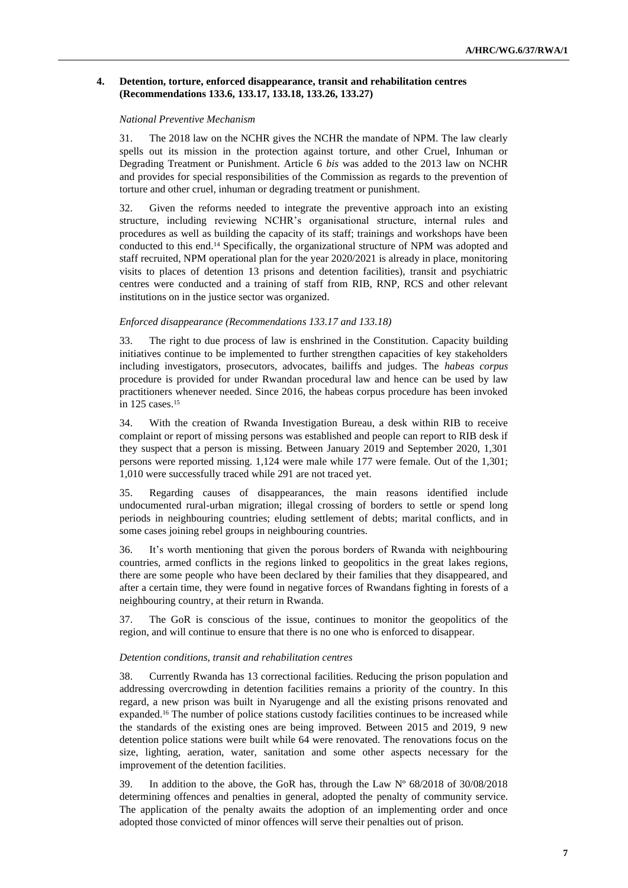#### **4. Detention, torture, enforced disappearance, transit and rehabilitation centres (Recommendations 133.6, 133.17, 133.18, 133.26, 133.27)**

#### *National Preventive Mechanism*

31. The 2018 law on the NCHR gives the NCHR the mandate of NPM. The law clearly spells out its mission in the protection against torture, and other Cruel, Inhuman or Degrading Treatment or Punishment. Article 6 *bis* was added to the 2013 law on NCHR and provides for special responsibilities of the Commission as regards to the prevention of torture and other cruel, inhuman or degrading treatment or punishment.

32. Given the reforms needed to integrate the preventive approach into an existing structure, including reviewing NCHR's organisational structure, internal rules and procedures as well as building the capacity of its staff; trainings and workshops have been conducted to this end.<sup>14</sup> Specifically, the organizational structure of NPM was adopted and staff recruited, NPM operational plan for the year 2020/2021 is already in place, monitoring visits to places of detention 13 prisons and detention facilities), transit and psychiatric centres were conducted and a training of staff from RIB, RNP, RCS and other relevant institutions on in the justice sector was organized.

#### *Enforced disappearance (Recommendations 133.17 and 133.18)*

33. The right to due process of law is enshrined in the Constitution. Capacity building initiatives continue to be implemented to further strengthen capacities of key stakeholders including investigators, prosecutors, advocates, bailiffs and judges. The *habeas corpus*  procedure is provided for under Rwandan procedural law and hence can be used by law practitioners whenever needed. Since 2016, the habeas corpus procedure has been invoked in 125 cases.<sup>15</sup>

34. With the creation of Rwanda Investigation Bureau, a desk within RIB to receive complaint or report of missing persons was established and people can report to RIB desk if they suspect that a person is missing. Between January 2019 and September 2020, 1,301 persons were reported missing. 1,124 were male while 177 were female. Out of the 1,301; 1,010 were successfully traced while 291 are not traced yet.

35. Regarding causes of disappearances, the main reasons identified include undocumented rural-urban migration; illegal crossing of borders to settle or spend long periods in neighbouring countries; eluding settlement of debts; marital conflicts, and in some cases joining rebel groups in neighbouring countries.

36. It's worth mentioning that given the porous borders of Rwanda with neighbouring countries, armed conflicts in the regions linked to geopolitics in the great lakes regions, there are some people who have been declared by their families that they disappeared, and after a certain time, they were found in negative forces of Rwandans fighting in forests of a neighbouring country, at their return in Rwanda.

37. The GoR is conscious of the issue, continues to monitor the geopolitics of the region, and will continue to ensure that there is no one who is enforced to disappear.

#### *Detention conditions, transit and rehabilitation centres*

38. Currently Rwanda has 13 correctional facilities. Reducing the prison population and addressing overcrowding in detention facilities remains a priority of the country. In this regard, a new prison was built in Nyarugenge and all the existing prisons renovated and expanded.<sup>16</sup> The number of police stations custody facilities continues to be increased while the standards of the existing ones are being improved. Between 2015 and 2019, 9 new detention police stations were built while 64 were renovated. The renovations focus on the size, lighting, aeration, water, sanitation and some other aspects necessary for the improvement of the detention facilities.

39. In addition to the above, the GoR has, through the Law Nº 68/2018 of 30/08/2018 determining offences and penalties in general, adopted the penalty of community service. The application of the penalty awaits the adoption of an implementing order and once adopted those convicted of minor offences will serve their penalties out of prison.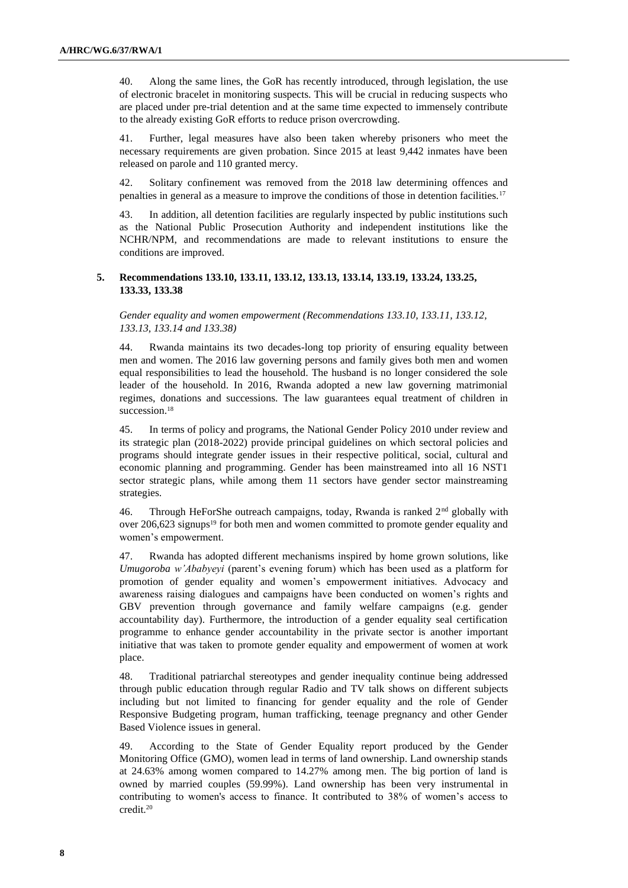40. Along the same lines, the GoR has recently introduced, through legislation, the use of electronic bracelet in monitoring suspects. This will be crucial in reducing suspects who are placed under pre-trial detention and at the same time expected to immensely contribute to the already existing GoR efforts to reduce prison overcrowding.

41. Further, legal measures have also been taken whereby prisoners who meet the necessary requirements are given probation. Since 2015 at least 9,442 inmates have been released on parole and 110 granted mercy.

42. Solitary confinement was removed from the 2018 law determining offences and penalties in general as a measure to improve the conditions of those in detention facilities.<sup>17</sup>

43. In addition, all detention facilities are regularly inspected by public institutions such as the National Public Prosecution Authority and independent institutions like the NCHR/NPM, and recommendations are made to relevant institutions to ensure the conditions are improved.

#### **5. Recommendations 133.10, 133.11, 133.12, 133.13, 133.14, 133.19, 133.24, 133.25, 133.33, 133.38**

*Gender equality and women empowerment (Recommendations 133.10, 133.11, 133.12, 133.13, 133.14 and 133.38)*

44. Rwanda maintains its two decades-long top priority of ensuring equality between men and women. The 2016 law governing persons and family gives both men and women equal responsibilities to lead the household. The husband is no longer considered the sole leader of the household. In 2016, Rwanda adopted a new law governing matrimonial regimes, donations and successions. The law guarantees equal treatment of children in succession.<sup>18</sup>

45. In terms of policy and programs, the National Gender Policy 2010 under review and its strategic plan (2018-2022) provide principal guidelines on which sectoral policies and programs should integrate gender issues in their respective political, social, cultural and economic planning and programming. Gender has been mainstreamed into all 16 NST1 sector strategic plans, while among them 11 sectors have gender sector mainstreaming strategies.

46. Through HeForShe outreach campaigns, today, Rwanda is ranked  $2<sup>nd</sup>$  globally with over 206,623 signups<sup>19</sup> for both men and women committed to promote gender equality and women's empowerment.

47. Rwanda has adopted different mechanisms inspired by home grown solutions, like *Umugoroba w'Ababyeyi* (parent's evening forum) which has been used as a platform for promotion of gender equality and women's empowerment initiatives. Advocacy and awareness raising dialogues and campaigns have been conducted on women's rights and GBV prevention through governance and family welfare campaigns (e.g. gender accountability day). Furthermore, the introduction of a gender equality seal certification programme to enhance gender accountability in the private sector is another important initiative that was taken to promote gender equality and empowerment of women at work place.

48. Traditional patriarchal stereotypes and gender inequality continue being addressed through public education through regular Radio and TV talk shows on different subjects including but not limited to financing for gender equality and the role of Gender Responsive Budgeting program, human trafficking, teenage pregnancy and other Gender Based Violence issues in general.

49. According to the State of Gender Equality report produced by the Gender Monitoring Office (GMO), women lead in terms of land ownership. Land ownership stands at 24.63% among women compared to 14.27% among men. The big portion of land is owned by married couples (59.99%). Land ownership has been very instrumental in contributing to women's access to finance. It contributed to 38% of women's access to credit.20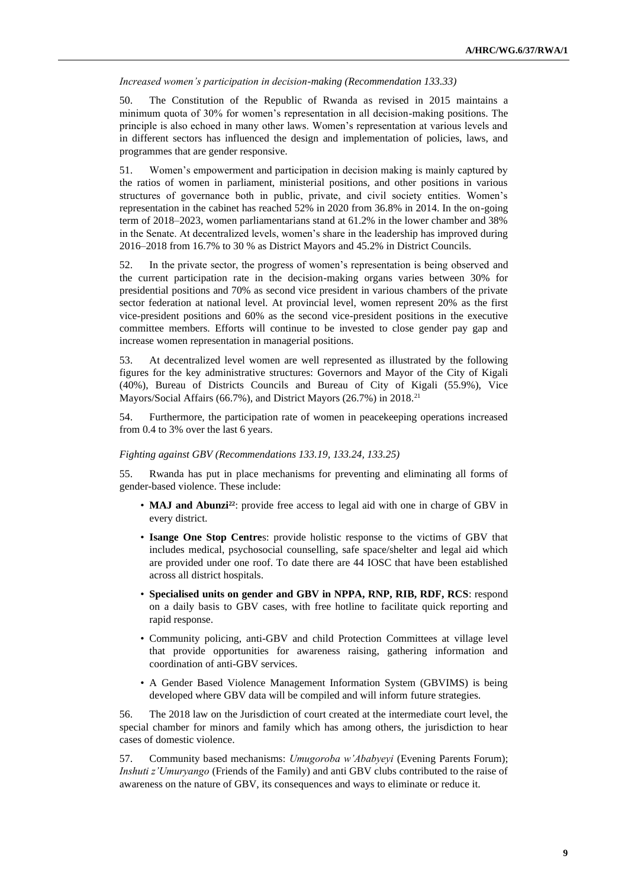*Increased women's participation in decision-making (Recommendation 133.33)*

50. The Constitution of the Republic of Rwanda as revised in 2015 maintains a minimum quota of 30% for women's representation in all decision-making positions. The principle is also echoed in many other laws. Women's representation at various levels and in different sectors has influenced the design and implementation of policies, laws, and programmes that are gender responsive.

51. Women's empowerment and participation in decision making is mainly captured by the ratios of women in parliament, ministerial positions, and other positions in various structures of governance both in public, private, and civil society entities. Women's representation in the cabinet has reached 52% in 2020 from 36.8% in 2014. In the on-going term of 2018–2023, women parliamentarians stand at 61.2% in the lower chamber and 38% in the Senate. At decentralized levels, women's share in the leadership has improved during 2016–2018 from 16.7% to 30 % as District Mayors and 45.2% in District Councils.

52. In the private sector, the progress of women's representation is being observed and the current participation rate in the decision-making organs varies between 30% for presidential positions and 70% as second vice president in various chambers of the private sector federation at national level. At provincial level, women represent 20% as the first vice-president positions and 60% as the second vice-president positions in the executive committee members. Efforts will continue to be invested to close gender pay gap and increase women representation in managerial positions.

53. At decentralized level women are well represented as illustrated by the following figures for the key administrative structures: Governors and Mayor of the City of Kigali (40%), Bureau of Districts Councils and Bureau of City of Kigali (55.9%), Vice Mayors/Social Affairs (66.7%), and District Mayors (26.7%) in 2018.<sup>21</sup>

54. Furthermore, the participation rate of women in peacekeeping operations increased from 0.4 to 3% over the last 6 years.

#### *Fighting against GBV (Recommendations 133.19, 133.24, 133.25)*

55. Rwanda has put in place mechanisms for preventing and eliminating all forms of gender-based violence. These include:

- **MAJ and Abunzi22**: provide free access to legal aid with one in charge of GBV in every district.
- **Isange One Stop Centre**s: provide holistic response to the victims of GBV that includes medical, psychosocial counselling, safe space/shelter and legal aid which are provided under one roof. To date there are 44 IOSC that have been established across all district hospitals.
- **Specialised units on gender and GBV in NPPA, RNP, RIB, RDF, RCS**: respond on a daily basis to GBV cases, with free hotline to facilitate quick reporting and rapid response.
- Community policing, anti-GBV and child Protection Committees at village level that provide opportunities for awareness raising, gathering information and coordination of anti-GBV services.
- A Gender Based Violence Management Information System (GBVIMS) is being developed where GBV data will be compiled and will inform future strategies.

56. The 2018 law on the Jurisdiction of court created at the intermediate court level, the special chamber for minors and family which has among others, the jurisdiction to hear cases of domestic violence.

57. Community based mechanisms: *Umugoroba w'Ababyeyi* (Evening Parents Forum); *Inshuti z'Umuryango* (Friends of the Family) and anti GBV clubs contributed to the raise of awareness on the nature of GBV, its consequences and ways to eliminate or reduce it.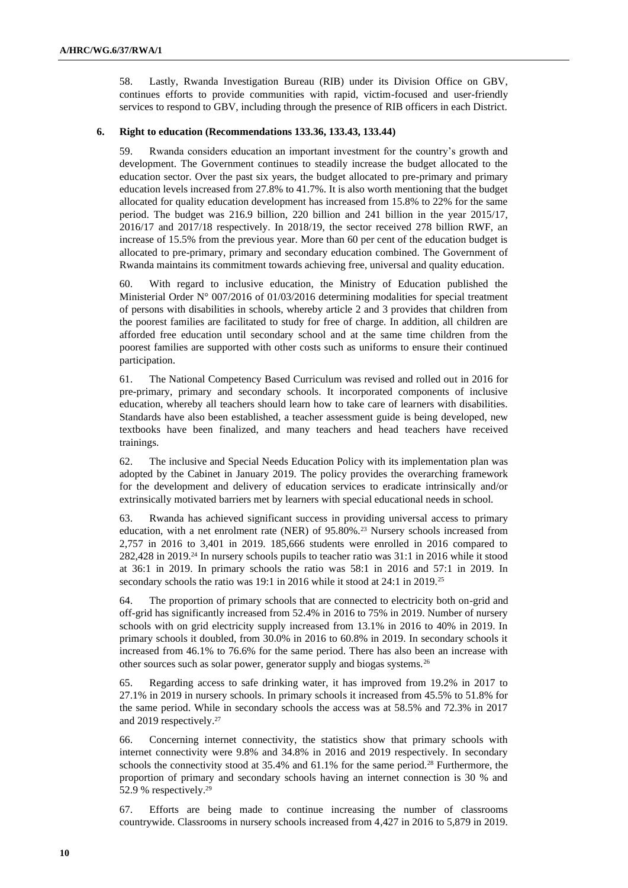58. Lastly, Rwanda Investigation Bureau (RIB) under its Division Office on GBV, continues efforts to provide communities with rapid, victim-focused and user-friendly services to respond to GBV, including through the presence of RIB officers in each District.

#### **6. Right to education (Recommendations 133.36, 133.43, 133.44)**

59. Rwanda considers education an important investment for the country's growth and development. The Government continues to steadily increase the budget allocated to the education sector. Over the past six years, the budget allocated to pre-primary and primary education levels increased from 27.8% to 41.7%. It is also worth mentioning that the budget allocated for quality education development has increased from 15.8% to 22% for the same period. The budget was 216.9 billion, 220 billion and 241 billion in the year 2015/17, 2016/17 and 2017/18 respectively. In 2018/19, the sector received 278 billion RWF, an increase of 15.5% from the previous year. More than 60 per cent of the education budget is allocated to pre-primary, primary and secondary education combined. The Government of Rwanda maintains its commitment towards achieving free, universal and quality education.

60. With regard to inclusive education, the Ministry of Education published the Ministerial Order N° 007/2016 of 01/03/2016 determining modalities for special treatment of persons with disabilities in schools, whereby article 2 and 3 provides that children from the poorest families are facilitated to study for free of charge. In addition, all children are afforded free education until secondary school and at the same time children from the poorest families are supported with other costs such as uniforms to ensure their continued participation.

61. The National Competency Based Curriculum was revised and rolled out in 2016 for pre-primary, primary and secondary schools. It incorporated components of inclusive education, whereby all teachers should learn how to take care of learners with disabilities. Standards have also been established, a teacher assessment guide is being developed, new textbooks have been finalized, and many teachers and head teachers have received trainings.

62. The inclusive and Special Needs Education Policy with its implementation plan was adopted by the Cabinet in January 2019. The policy provides the overarching framework for the development and delivery of education services to eradicate intrinsically and/or extrinsically motivated barriers met by learners with special educational needs in school.

63. Rwanda has achieved significant success in providing universal access to primary education, with a net enrolment rate (NER) of 95.80%.<sup>23</sup> Nursery schools increased from 2,757 in 2016 to 3,401 in 2019. 185,666 students were enrolled in 2016 compared to 282,428 in 2019.<sup>24</sup> In nursery schools pupils to teacher ratio was 31:1 in 2016 while it stood at 36:1 in 2019. In primary schools the ratio was 58:1 in 2016 and 57:1 in 2019. In secondary schools the ratio was 19:1 in 2016 while it stood at 24:1 in 2019.<sup>25</sup>

64. The proportion of primary schools that are connected to electricity both on-grid and off-grid has significantly increased from 52.4% in 2016 to 75% in 2019. Number of nursery schools with on grid electricity supply increased from 13.1% in 2016 to 40% in 2019. In primary schools it doubled, from 30.0% in 2016 to 60.8% in 2019. In secondary schools it increased from 46.1% to 76.6% for the same period. There has also been an increase with other sources such as solar power, generator supply and biogas systems.<sup>26</sup>

65. Regarding access to safe drinking water, it has improved from 19.2% in 2017 to 27.1% in 2019 in nursery schools. In primary schools it increased from 45.5% to 51.8% for the same period. While in secondary schools the access was at 58.5% and 72.3% in 2017 and 2019 respectively.<sup>27</sup>

66. Concerning internet connectivity, the statistics show that primary schools with internet connectivity were 9.8% and 34.8% in 2016 and 2019 respectively. In secondary schools the connectivity stood at 35.4% and 61.1% for the same period.<sup>28</sup> Furthermore, the proportion of primary and secondary schools having an internet connection is 30 % and 52.9 % respectively.<sup>29</sup>

67. Efforts are being made to continue increasing the number of classrooms countrywide. Classrooms in nursery schools increased from 4,427 in 2016 to 5,879 in 2019.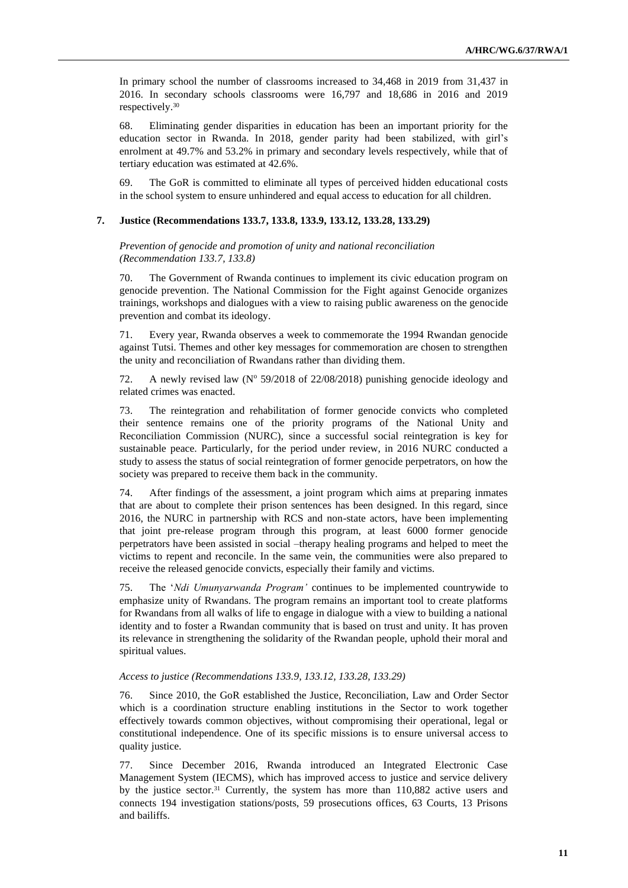In primary school the number of classrooms increased to 34,468 in 2019 from 31,437 in 2016. In secondary schools classrooms were 16,797 and 18,686 in 2016 and 2019 respectively.<sup>30</sup>

68. Eliminating gender disparities in education has been an important priority for the education sector in Rwanda. In 2018, gender parity had been stabilized, with girl's enrolment at 49.7% and 53.2% in primary and secondary levels respectively, while that of tertiary education was estimated at 42.6%.

69. The GoR is committed to eliminate all types of perceived hidden educational costs in the school system to ensure unhindered and equal access to education for all children.

#### **7. Justice (Recommendations 133.7, 133.8, 133.9, 133.12, 133.28, 133.29)**

*Prevention of genocide and promotion of unity and national reconciliation (Recommendation 133.7, 133.8)*

70. The Government of Rwanda continues to implement its civic education program on genocide prevention. The National Commission for the Fight against Genocide organizes trainings, workshops and dialogues with a view to raising public awareness on the genocide prevention and combat its ideology.

71. Every year, Rwanda observes a week to commemorate the 1994 Rwandan genocide against Tutsi. Themes and other key messages for commemoration are chosen to strengthen the unity and reconciliation of Rwandans rather than dividing them.

72. A newly revised law ( $N^{\circ}$  59/2018 of 22/08/2018) punishing genocide ideology and related crimes was enacted.

73. The reintegration and rehabilitation of former genocide convicts who completed their sentence remains one of the priority programs of the National Unity and Reconciliation Commission (NURC), since a successful social reintegration is key for sustainable peace. Particularly, for the period under review, in 2016 NURC conducted a study to assess the status of social reintegration of former genocide perpetrators, on how the society was prepared to receive them back in the community.

74. After findings of the assessment, a joint program which aims at preparing inmates that are about to complete their prison sentences has been designed. In this regard, since 2016, the NURC in partnership with RCS and non-state actors, have been implementing that joint pre-release program through this program, at least 6000 former genocide perpetrators have been assisted in social –therapy healing programs and helped to meet the victims to repent and reconcile. In the same vein, the communities were also prepared to receive the released genocide convicts, especially their family and victims.

75. The '*Ndi Umunyarwanda Program'* continues to be implemented countrywide to emphasize unity of Rwandans. The program remains an important tool to create platforms for Rwandans from all walks of life to engage in dialogue with a view to building a national identity and to foster a Rwandan community that is based on trust and unity. It has proven its relevance in strengthening the solidarity of the Rwandan people, uphold their moral and spiritual values.

#### *Access to justice (Recommendations 133.9, 133.12, 133.28, 133.29)*

76. Since 2010, the GoR established the Justice, Reconciliation, Law and Order Sector which is a coordination structure enabling institutions in the Sector to work together effectively towards common objectives, without compromising their operational, legal or constitutional independence. One of its specific missions is to ensure universal access to quality justice.

77. Since December 2016, Rwanda introduced an Integrated Electronic Case Management System (IECMS), which has improved access to justice and service delivery by the justice sector.<sup>31</sup> Currently, the system has more than 110,882 active users and connects 194 investigation stations/posts, 59 prosecutions offices, 63 Courts, 13 Prisons and bailiffs.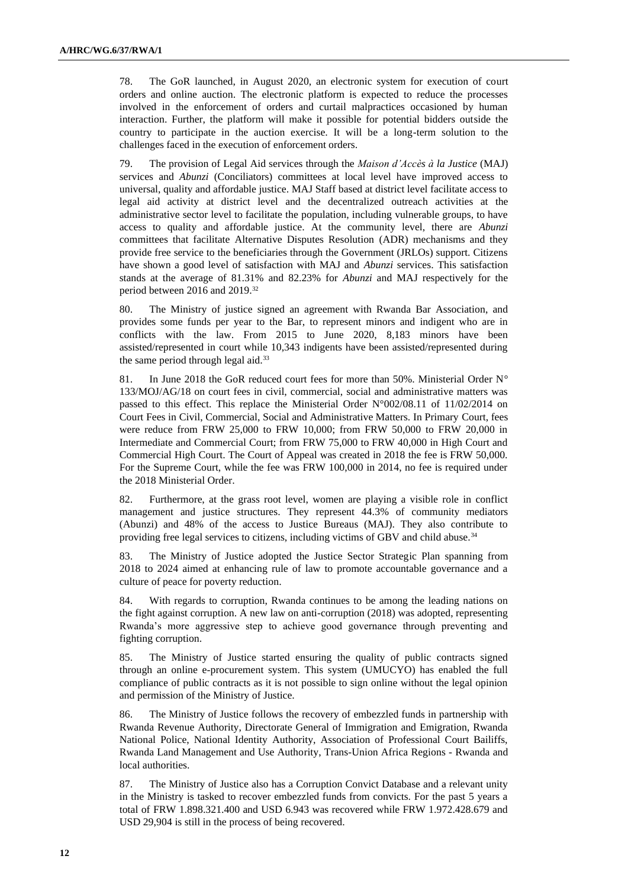78. The GoR launched, in August 2020, an electronic system for execution of court orders and online auction. The electronic platform is expected to reduce the processes involved in the enforcement of orders and curtail malpractices occasioned by human interaction. Further, the platform will make it possible for potential bidders outside the country to participate in the auction exercise. It will be a long-term solution to the challenges faced in the execution of enforcement orders.

79. The provision of Legal Aid services through the *Maison d'Accès à la Justice* (MAJ) services and *Abunzi* (Conciliators) committees at local level have improved access to universal, quality and affordable justice. MAJ Staff based at district level facilitate access to legal aid activity at district level and the decentralized outreach activities at the administrative sector level to facilitate the population, including vulnerable groups, to have access to quality and affordable justice. At the community level, there are *Abunzi* committees that facilitate Alternative Disputes Resolution (ADR) mechanisms and they provide free service to the beneficiaries through the Government (JRLOs) support. Citizens have shown a good level of satisfaction with MAJ and *Abunzi* services. This satisfaction stands at the average of 81.31% and 82.23% for *Abunzi* and MAJ respectively for the period between 2016 and 2019.<sup>32</sup>

80. The Ministry of justice signed an agreement with Rwanda Bar Association, and provides some funds per year to the Bar, to represent minors and indigent who are in conflicts with the law. From 2015 to June 2020, 8,183 minors have been assisted/represented in court while 10,343 indigents have been assisted/represented during the same period through legal aid.<sup>33</sup>

81. In June 2018 the GoR reduced court fees for more than 50%. Ministerial Order N° 133/MOJ/AG/18 on court fees in civil, commercial, social and administrative matters was passed to this effect. This replace the Ministerial Order N°002/08.11 of 11/02/2014 on Court Fees in Civil, Commercial, Social and Administrative Matters. In Primary Court, fees were reduce from FRW 25,000 to FRW 10,000; from FRW 50,000 to FRW 20,000 in Intermediate and Commercial Court; from FRW 75,000 to FRW 40,000 in High Court and Commercial High Court. The Court of Appeal was created in 2018 the fee is FRW 50,000. For the Supreme Court, while the fee was FRW 100,000 in 2014, no fee is required under the 2018 Ministerial Order.

82. Furthermore, at the grass root level, women are playing a visible role in conflict management and justice structures. They represent 44.3% of community mediators (Abunzi) and 48% of the access to Justice Bureaus (MAJ). They also contribute to providing free legal services to citizens, including victims of GBV and child abuse.<sup>34</sup>

83. The Ministry of Justice adopted the Justice Sector Strategic Plan spanning from 2018 to 2024 aimed at enhancing rule of law to promote accountable governance and a culture of peace for poverty reduction.

84. With regards to corruption, Rwanda continues to be among the leading nations on the fight against corruption. A new law on anti-corruption (2018) was adopted, representing Rwanda's more aggressive step to achieve good governance through preventing and fighting corruption.

85. The Ministry of Justice started ensuring the quality of public contracts signed through an online e-procurement system. This system (UMUCYO) has enabled the full compliance of public contracts as it is not possible to sign online without the legal opinion and permission of the Ministry of Justice.

86. The Ministry of Justice follows the recovery of embezzled funds in partnership with Rwanda Revenue Authority, Directorate General of Immigration and Emigration, Rwanda National Police, National Identity Authority, Association of Professional Court Bailiffs, Rwanda Land Management and Use Authority, Trans-Union Africa Regions - Rwanda and local authorities.

87. The Ministry of Justice also has a Corruption Convict Database and a relevant unity in the Ministry is tasked to recover embezzled funds from convicts. For the past 5 years a total of FRW 1.898.321.400 and USD 6.943 was recovered while FRW 1.972.428.679 and USD 29,904 is still in the process of being recovered.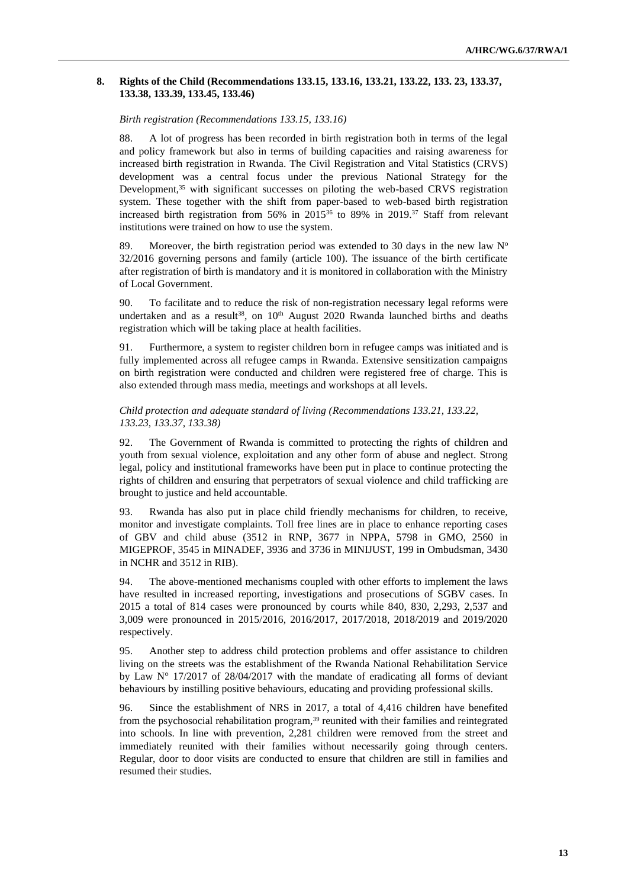#### **8. Rights of the Child (Recommendations 133.15, 133.16, 133.21, 133.22, 133. 23, 133.37, 133.38, 133.39, 133.45, 133.46)**

#### *Birth registration (Recommendations 133.15, 133.16)*

88. A lot of progress has been recorded in birth registration both in terms of the legal and policy framework but also in terms of building capacities and raising awareness for increased birth registration in Rwanda. The Civil Registration and Vital Statistics (CRVS) development was a central focus under the previous National Strategy for the Development,<sup>35</sup> with significant successes on piloting the web-based CRVS registration system. These together with the shift from paper-based to web-based birth registration increased birth registration from 56% in 2015<sup>36</sup> to 89% in 2019.<sup>37</sup> Staff from relevant institutions were trained on how to use the system.

89. Moreover, the birth registration period was extended to 30 days in the new law  $N^{\circ}$ 32/2016 governing persons and family (article 100). The issuance of the birth certificate after registration of birth is mandatory and it is monitored in collaboration with the Ministry of Local Government.

90. To facilitate and to reduce the risk of non-registration necessary legal reforms were undertaken and as a result<sup>38</sup>, on  $10<sup>th</sup>$  August 2020 Rwanda launched births and deaths registration which will be taking place at health facilities.

91. Furthermore, a system to register children born in refugee camps was initiated and is fully implemented across all refugee camps in Rwanda. Extensive sensitization campaigns on birth registration were conducted and children were registered free of charge. This is also extended through mass media, meetings and workshops at all levels.

#### *Child protection and adequate standard of living (Recommendations 133.21, 133.22, 133.23, 133.37, 133.38)*

92. The Government of Rwanda is committed to protecting the rights of children and youth from sexual violence, exploitation and any other form of abuse and neglect. Strong legal, policy and institutional frameworks have been put in place to continue protecting the rights of children and ensuring that perpetrators of sexual violence and child trafficking are brought to justice and held accountable.

93. Rwanda has also put in place child friendly mechanisms for children, to receive, monitor and investigate complaints. Toll free lines are in place to enhance reporting cases of GBV and child abuse (3512 in RNP, 3677 in NPPA, 5798 in GMO, 2560 in MIGEPROF, 3545 in MINADEF, 3936 and 3736 in MINIJUST, 199 in Ombudsman, 3430 in NCHR and 3512 in RIB).

94. The above-mentioned mechanisms coupled with other efforts to implement the laws have resulted in increased reporting, investigations and prosecutions of SGBV cases. In 2015 a total of 814 cases were pronounced by courts while 840, 830, 2,293, 2,537 and 3,009 were pronounced in 2015/2016, 2016/2017, 2017/2018, 2018/2019 and 2019/2020 respectively.

95. Another step to address child protection problems and offer assistance to children living on the streets was the establishment of the Rwanda National Rehabilitation Service by Law  $N^{\circ}$  17/2017 of 28/04/2017 with the mandate of eradicating all forms of deviant behaviours by instilling positive behaviours, educating and providing professional skills.

96. Since the establishment of NRS in 2017, a total of 4,416 children have benefited from the psychosocial rehabilitation program,<sup>39</sup> reunited with their families and reintegrated into schools. In line with prevention, 2,281 children were removed from the street and immediately reunited with their families without necessarily going through centers. Regular, door to door visits are conducted to ensure that children are still in families and resumed their studies.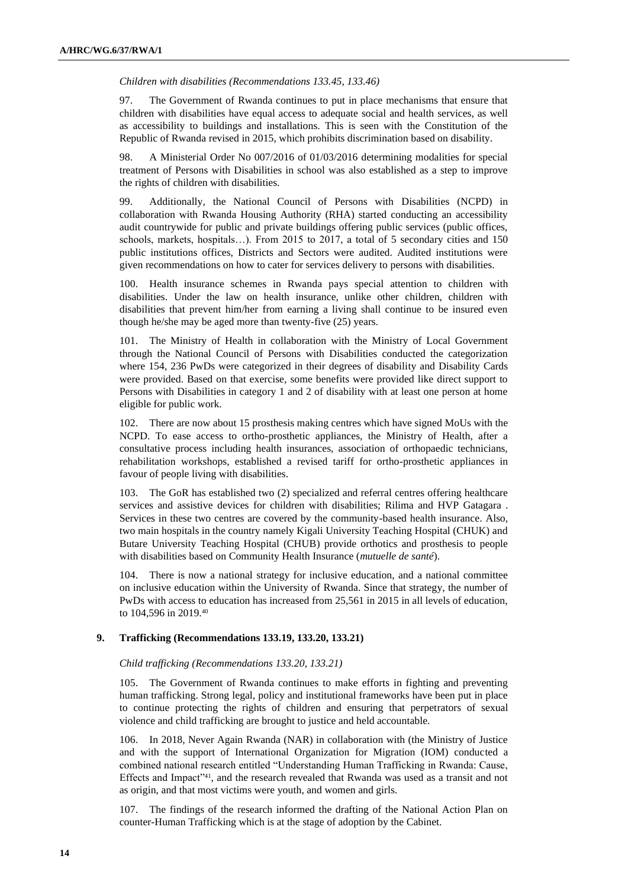*Children with disabilities (Recommendations 133.45, 133.46)*

97. The Government of Rwanda continues to put in place mechanisms that ensure that children with disabilities have equal access to adequate social and health services, as well as accessibility to buildings and installations. This is seen with the Constitution of the Republic of Rwanda revised in 2015, which prohibits discrimination based on disability.

98. A Ministerial Order No 007/2016 of 01/03/2016 determining modalities for special treatment of Persons with Disabilities in school was also established as a step to improve the rights of children with disabilities.

99. Additionally, the National Council of Persons with Disabilities (NCPD) in collaboration with Rwanda Housing Authority (RHA) started conducting an accessibility audit countrywide for public and private buildings offering public services (public offices, schools, markets, hospitals…). From 2015 to 2017, a total of 5 secondary cities and 150 public institutions offices, Districts and Sectors were audited. Audited institutions were given recommendations on how to cater for services delivery to persons with disabilities.

100. Health insurance schemes in Rwanda pays special attention to children with disabilities. Under the law on health insurance, unlike other children, children with disabilities that prevent him/her from earning a living shall continue to be insured even though he/she may be aged more than twenty-five (25) years.

101. The Ministry of Health in collaboration with the Ministry of Local Government through the National Council of Persons with Disabilities conducted the categorization where 154, 236 PwDs were categorized in their degrees of disability and Disability Cards were provided. Based on that exercise, some benefits were provided like direct support to Persons with Disabilities in category 1 and 2 of disability with at least one person at home eligible for public work.

102. There are now about 15 prosthesis making centres which have signed MoUs with the NCPD. To ease access to ortho-prosthetic appliances, the Ministry of Health, after a consultative process including health insurances, association of orthopaedic technicians, rehabilitation workshops, established a revised tariff for ortho-prosthetic appliances in favour of people living with disabilities.

103. The GoR has established two (2) specialized and referral centres offering healthcare services and assistive devices for children with disabilities; Rilima and HVP Gatagara . Services in these two centres are covered by the community-based health insurance. Also, two main hospitals in the country namely Kigali University Teaching Hospital (CHUK) and Butare University Teaching Hospital (CHUB) provide orthotics and prosthesis to people with disabilities based on Community Health Insurance (*mutuelle de santé*).

104. There is now a national strategy for inclusive education, and a national committee on inclusive education within the University of Rwanda. Since that strategy, the number of PwDs with access to education has increased from 25,561 in 2015 in all levels of education, to 104,596 in 2019.<sup>40</sup>

#### **9. Trafficking (Recommendations 133.19, 133.20, 133.21)**

#### *Child trafficking (Recommendations 133.20, 133.21)*

105. The Government of Rwanda continues to make efforts in fighting and preventing human trafficking. Strong legal, policy and institutional frameworks have been put in place to continue protecting the rights of children and ensuring that perpetrators of sexual violence and child trafficking are brought to justice and held accountable.

106. In 2018, Never Again Rwanda (NAR) in collaboration with (the Ministry of Justice and with the support of International Organization for Migration (IOM) conducted a combined national research entitled "Understanding Human Trafficking in Rwanda: Cause, Effects and Impact"41, and the research revealed that Rwanda was used as a transit and not as origin, and that most victims were youth, and women and girls.

107. The findings of the research informed the drafting of the National Action Plan on counter-Human Trafficking which is at the stage of adoption by the Cabinet.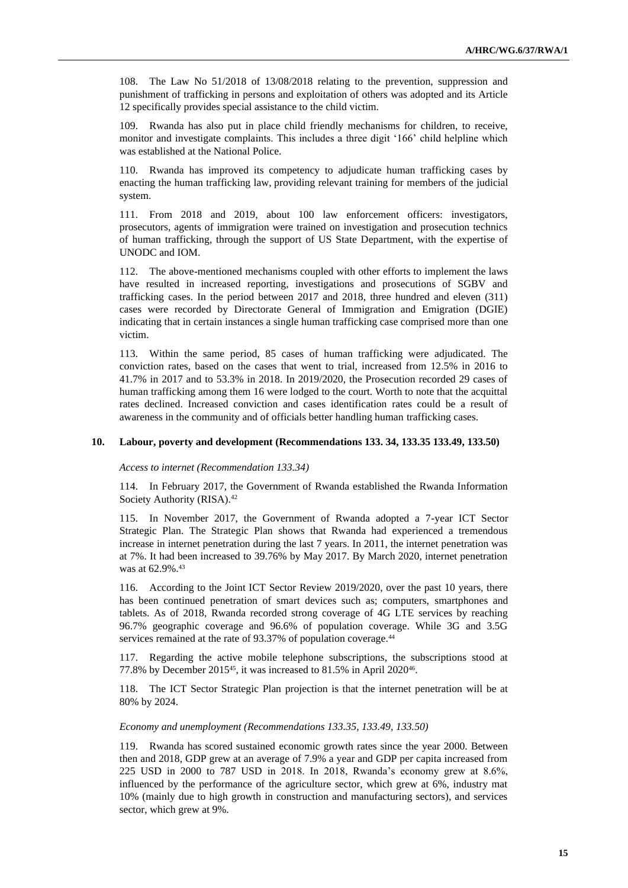108. The Law No 51/2018 of 13/08/2018 relating to the prevention, suppression and punishment of trafficking in persons and exploitation of others was adopted and its Article 12 specifically provides special assistance to the child victim.

109. Rwanda has also put in place child friendly mechanisms for children, to receive, monitor and investigate complaints. This includes a three digit '166' child helpline which was established at the National Police.

110. Rwanda has improved its competency to adjudicate human trafficking cases by enacting the human trafficking law, providing relevant training for members of the judicial system.

111. From 2018 and 2019, about 100 law enforcement officers: investigators, prosecutors, agents of immigration were trained on investigation and prosecution technics of human trafficking, through the support of US State Department, with the expertise of UNODC and IOM.

112. The above-mentioned mechanisms coupled with other efforts to implement the laws have resulted in increased reporting, investigations and prosecutions of SGBV and trafficking cases. In the period between 2017 and 2018, three hundred and eleven (311) cases were recorded by Directorate General of Immigration and Emigration (DGIE) indicating that in certain instances a single human trafficking case comprised more than one victim.

113. Within the same period, 85 cases of human trafficking were adjudicated. The conviction rates, based on the cases that went to trial, increased from 12.5% in 2016 to 41.7% in 2017 and to 53.3% in 2018. In 2019/2020, the Prosecution recorded 29 cases of human trafficking among them 16 were lodged to the court. Worth to note that the acquittal rates declined. Increased conviction and cases identification rates could be a result of awareness in the community and of officials better handling human trafficking cases.

#### **10. Labour, poverty and development (Recommendations 133. 34, 133.35 133.49, 133.50)**

*Access to internet (Recommendation 133.34)*

114. In February 2017, the Government of Rwanda established the Rwanda Information Society Authority (RISA).<sup>42</sup>

115. In November 2017, the Government of Rwanda adopted a 7-year ICT Sector Strategic Plan. The Strategic Plan shows that Rwanda had experienced a tremendous increase in internet penetration during the last 7 years. In 2011, the internet penetration was at 7%. It had been increased to 39.76% by May 2017. By March 2020, internet penetration was at 62.9%.<sup>43</sup>

116. According to the Joint ICT Sector Review 2019/2020, over the past 10 years, there has been continued penetration of smart devices such as; computers, smartphones and tablets. As of 2018, Rwanda recorded strong coverage of 4G LTE services by reaching 96.7% geographic coverage and 96.6% of population coverage. While 3G and 3.5G services remained at the rate of 93.37% of population coverage.<sup>44</sup>

117. Regarding the active mobile telephone subscriptions, the subscriptions stood at 77.8% by December 2015<sup>45</sup>, it was increased to 81.5% in April 2020<sup>46</sup>.

118. The ICT Sector Strategic Plan projection is that the internet penetration will be at 80% by 2024.

#### *Economy and unemployment (Recommendations 133.35, 133.49, 133.50)*

119. Rwanda has scored sustained economic growth rates since the year 2000. Between then and 2018, GDP grew at an average of 7.9% a year and GDP per capita increased from 225 USD in 2000 to 787 USD in 2018. In 2018, Rwanda's economy grew at 8.6%, influenced by the performance of the agriculture sector, which grew at 6%, industry mat 10% (mainly due to high growth in construction and manufacturing sectors), and services sector, which grew at 9%.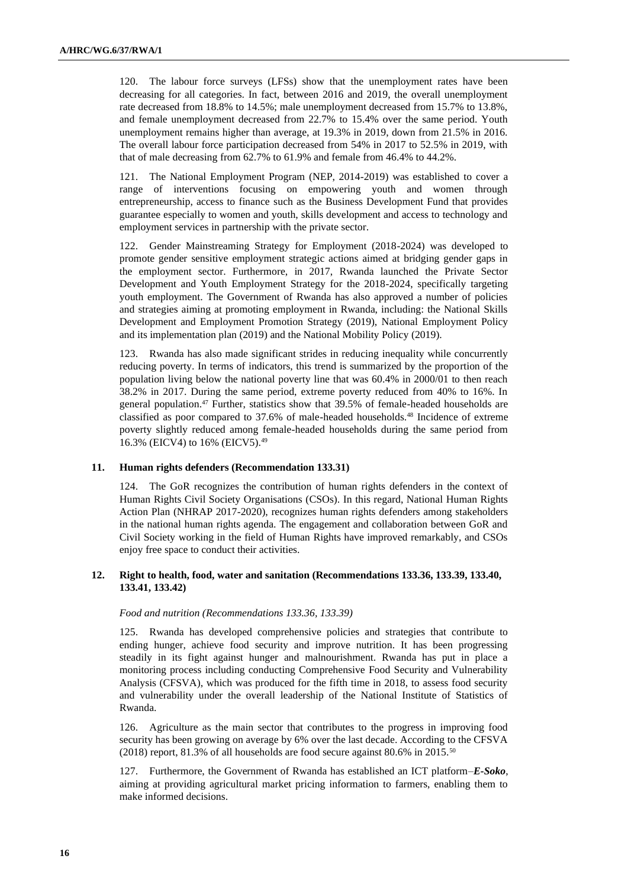120. The labour force surveys (LFSs) show that the unemployment rates have been decreasing for all categories. In fact, between 2016 and 2019, the overall unemployment rate decreased from 18.8% to 14.5%; male unemployment decreased from 15.7% to 13.8%, and female unemployment decreased from 22.7% to 15.4% over the same period. Youth unemployment remains higher than average, at 19.3% in 2019, down from 21.5% in 2016. The overall labour force participation decreased from 54% in 2017 to 52.5% in 2019, with that of male decreasing from 62.7% to 61.9% and female from 46.4% to 44.2%.

121. The National Employment Program (NEP, 2014-2019) was established to cover a range of interventions focusing on empowering youth and women through entrepreneurship, access to finance such as the Business Development Fund that provides guarantee especially to women and youth, skills development and access to technology and employment services in partnership with the private sector.

122. Gender Mainstreaming Strategy for Employment (2018-2024) was developed to promote gender sensitive employment strategic actions aimed at bridging gender gaps in the employment sector. Furthermore, in 2017, Rwanda launched the Private Sector Development and Youth Employment Strategy for the 2018-2024, specifically targeting youth employment. The Government of Rwanda has also approved a number of policies and strategies aiming at promoting employment in Rwanda, including: the National Skills Development and Employment Promotion Strategy (2019), National Employment Policy and its implementation plan (2019) and the National Mobility Policy (2019).

123. Rwanda has also made significant strides in reducing inequality while concurrently reducing poverty. In terms of indicators, this trend is summarized by the proportion of the population living below the national poverty line that was 60.4% in 2000/01 to then reach 38.2% in 2017. During the same period, extreme poverty reduced from 40% to 16%. In general population.<sup>47</sup> Further, statistics show that 39.5% of female-headed households are classified as poor compared to 37.6% of male-headed households.<sup>48</sup> Incidence of extreme poverty slightly reduced among female-headed households during the same period from 16.3% (EICV4) to 16% (EICV5).<sup>49</sup>

#### **11. Human rights defenders (Recommendation 133.31)**

124. The GoR recognizes the contribution of human rights defenders in the context of Human Rights Civil Society Organisations (CSOs). In this regard, National Human Rights Action Plan (NHRAP 2017-2020), recognizes human rights defenders among stakeholders in the national human rights agenda. The engagement and collaboration between GoR and Civil Society working in the field of Human Rights have improved remarkably, and CSOs enjoy free space to conduct their activities.

#### **12. Right to health, food, water and sanitation (Recommendations 133.36, 133.39, 133.40, 133.41, 133.42)**

#### *Food and nutrition (Recommendations 133.36, 133.39)*

125. Rwanda has developed comprehensive policies and strategies that contribute to ending hunger, achieve food security and improve nutrition. It has been progressing steadily in its fight against hunger and malnourishment. Rwanda has put in place a monitoring process including conducting Comprehensive Food Security and Vulnerability Analysis (CFSVA), which was produced for the fifth time in 2018, to assess food security and vulnerability under the overall leadership of the National Institute of Statistics of Rwanda.

126. Agriculture as the main sector that contributes to the progress in improving food security has been growing on average by 6% over the last decade. According to the CFSVA (2018) report, 81.3% of all households are food secure against 80.6% in 2015.<sup>50</sup>

127. Furthermore, the Government of Rwanda has established an ICT platform–*E-Soko*, aiming at providing agricultural market pricing information to farmers, enabling them to make informed decisions.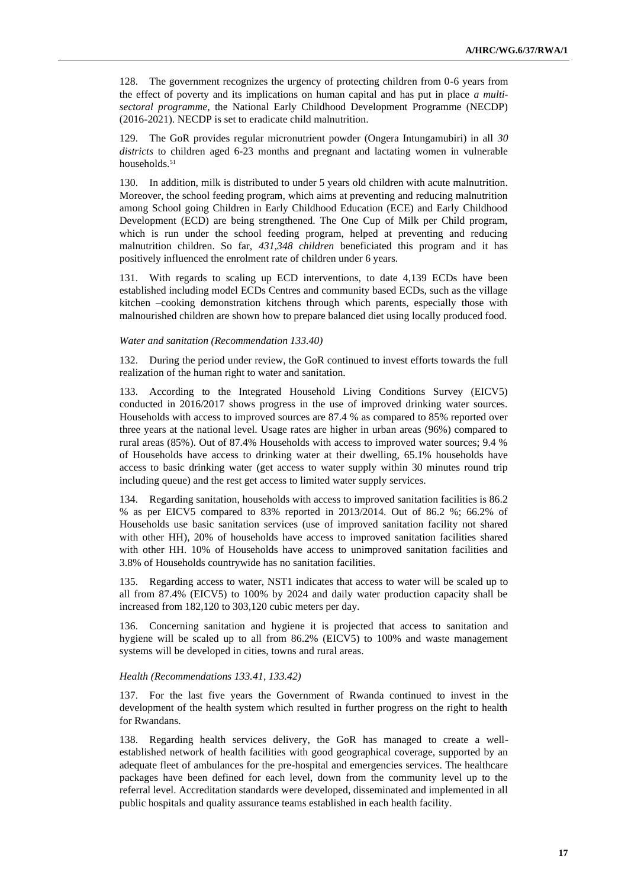128. The government recognizes the urgency of protecting children from 0-6 years from the effect of poverty and its implications on human capital and has put in place *a multisectoral programme*, the National Early Childhood Development Programme (NECDP) (2016-2021). NECDP is set to eradicate child malnutrition.

129. The GoR provides regular micronutrient powder (Ongera Intungamubiri) in all *30 districts* to children aged 6-23 months and pregnant and lactating women in vulnerable households.<sup>51</sup>

130. In addition, milk is distributed to under 5 years old children with acute malnutrition. Moreover, the school feeding program, which aims at preventing and reducing malnutrition among School going Children in Early Childhood Education (ECE) and Early Childhood Development (ECD) are being strengthened. The One Cup of Milk per Child program, which is run under the school feeding program, helped at preventing and reducing malnutrition children. So far, *431,348 children* beneficiated this program and it has positively influenced the enrolment rate of children under 6 years.

131. With regards to scaling up ECD interventions, to date 4,139 ECDs have been established including model ECDs Centres and community based ECDs, such as the village kitchen –cooking demonstration kitchens through which parents, especially those with malnourished children are shown how to prepare balanced diet using locally produced food.

#### *Water and sanitation (Recommendation 133.40)*

132. During the period under review, the GoR continued to invest efforts towards the full realization of the human right to water and sanitation.

133. According to the Integrated Household Living Conditions Survey (EICV5) conducted in 2016/2017 shows progress in the use of improved drinking water sources. Households with access to improved sources are 87.4 % as compared to 85% reported over three years at the national level. Usage rates are higher in urban areas (96%) compared to rural areas (85%). Out of 87.4% Households with access to improved water sources; 9.4 % of Households have access to drinking water at their dwelling, 65.1% households have access to basic drinking water (get access to water supply within 30 minutes round trip including queue) and the rest get access to limited water supply services.

134. Regarding sanitation, households with access to improved sanitation facilities is 86.2 % as per EICV5 compared to 83% reported in 2013/2014. Out of 86.2 %; 66.2% of Households use basic sanitation services (use of improved sanitation facility not shared with other HH), 20% of households have access to improved sanitation facilities shared with other HH. 10% of Households have access to unimproved sanitation facilities and 3.8% of Households countrywide has no sanitation facilities.

135. Regarding access to water, NST1 indicates that access to water will be scaled up to all from 87.4% (EICV5) to 100% by 2024 and daily water production capacity shall be increased from 182,120 to 303,120 cubic meters per day.

136. Concerning sanitation and hygiene it is projected that access to sanitation and hygiene will be scaled up to all from 86.2% (EICV5) to 100% and waste management systems will be developed in cities, towns and rural areas.

#### *Health (Recommendations 133.41, 133.42)*

137. For the last five years the Government of Rwanda continued to invest in the development of the health system which resulted in further progress on the right to health for Rwandans.

138. Regarding health services delivery, the GoR has managed to create a wellestablished network of health facilities with good geographical coverage, supported by an adequate fleet of ambulances for the pre-hospital and emergencies services. The healthcare packages have been defined for each level, down from the community level up to the referral level. Accreditation standards were developed, disseminated and implemented in all public hospitals and quality assurance teams established in each health facility.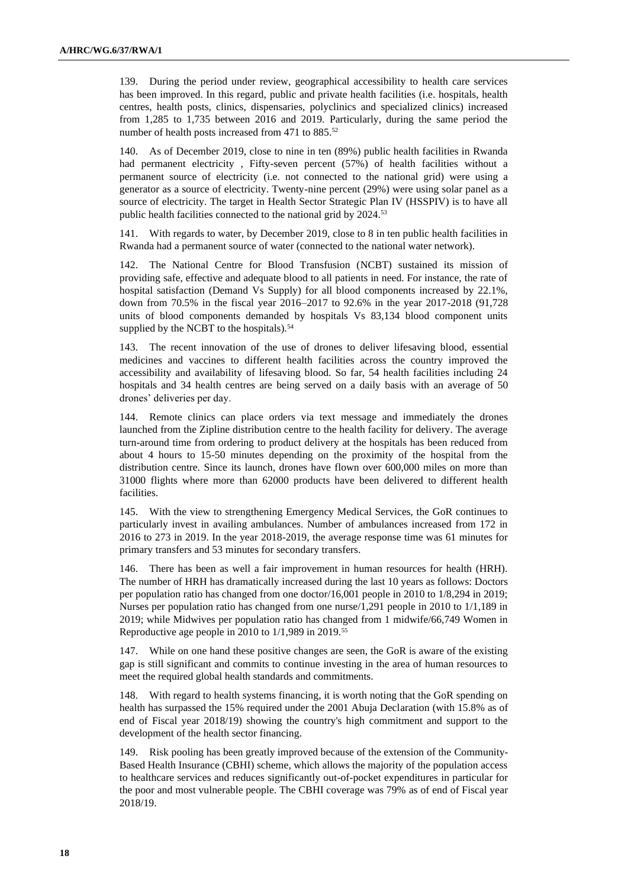139. During the period under review, geographical accessibility to health care services has been improved. In this regard, public and private health facilities (i.e. hospitals, health centres, health posts, clinics, dispensaries, polyclinics and specialized clinics) increased from 1,285 to 1,735 between 2016 and 2019. Particularly, during the same period the number of health posts increased from 471 to 885.<sup>52</sup>

140. As of December 2019, close to nine in ten (89%) public health facilities in Rwanda had permanent electricity , Fifty-seven percent (57%) of health facilities without a permanent source of electricity (i.e. not connected to the national grid) were using a generator as a source of electricity. Twenty-nine percent (29%) were using solar panel as a source of electricity. The target in Health Sector Strategic Plan IV (HSSPIV) is to have all public health facilities connected to the national grid by 2024.<sup>53</sup>

141. With regards to water, by December 2019, close to 8 in ten public health facilities in Rwanda had a permanent source of water (connected to the national water network).

142. The National Centre for Blood Transfusion (NCBT) sustained its mission of providing safe, effective and adequate blood to all patients in need. For instance, the rate of hospital satisfaction (Demand Vs Supply) for all blood components increased by 22.1%, down from 70.5% in the fiscal year 2016–2017 to 92.6% in the year 2017-2018 (91,728 units of blood components demanded by hospitals Vs 83,134 blood component units supplied by the NCBT to the hospitals).<sup>54</sup>

143. The recent innovation of the use of drones to deliver lifesaving blood, essential medicines and vaccines to different health facilities across the country improved the accessibility and availability of lifesaving blood. So far, 54 health facilities including 24 hospitals and 34 health centres are being served on a daily basis with an average of 50 drones' deliveries per day.

144. Remote clinics can place orders via text message and immediately the drones launched from the Zipline distribution centre to the health facility for delivery. The average turn-around time from ordering to product delivery at the hospitals has been reduced from about 4 hours to 15-50 minutes depending on the proximity of the hospital from the distribution centre. Since its launch, drones have flown over 600,000 miles on more than 31000 flights where more than 62000 products have been delivered to different health facilities.

145. With the view to strengthening Emergency Medical Services, the GoR continues to particularly invest in availing ambulances. Number of ambulances increased from 172 in 2016 to 273 in 2019. In the year 2018-2019, the average response time was 61 minutes for primary transfers and 53 minutes for secondary transfers.

146. There has been as well a fair improvement in human resources for health (HRH). The number of HRH has dramatically increased during the last 10 years as follows: Doctors per population ratio has changed from one doctor/16,001 people in 2010 to 1/8,294 in 2019; Nurses per population ratio has changed from one nurse/1,291 people in 2010 to 1/1,189 in 2019; while Midwives per population ratio has changed from 1 midwife/66,749 Women in Reproductive age people in 2010 to 1/1,989 in 2019.<sup>55</sup>

While on one hand these positive changes are seen, the GoR is aware of the existing gap is still significant and commits to continue investing in the area of human resources to meet the required global health standards and commitments.

148. With regard to health systems financing, it is worth noting that the GoR spending on health has surpassed the 15% required under the 2001 Abuja Declaration (with 15.8% as of end of Fiscal year 2018/19) showing the country's high commitment and support to the development of the health sector financing.

149. Risk pooling has been greatly improved because of the extension of the Community-Based Health Insurance (CBHI) scheme, which allows the majority of the population access to healthcare services and reduces significantly out-of-pocket expenditures in particular for the poor and most vulnerable people. The CBHI coverage was 79% as of end of Fiscal year 2018/19.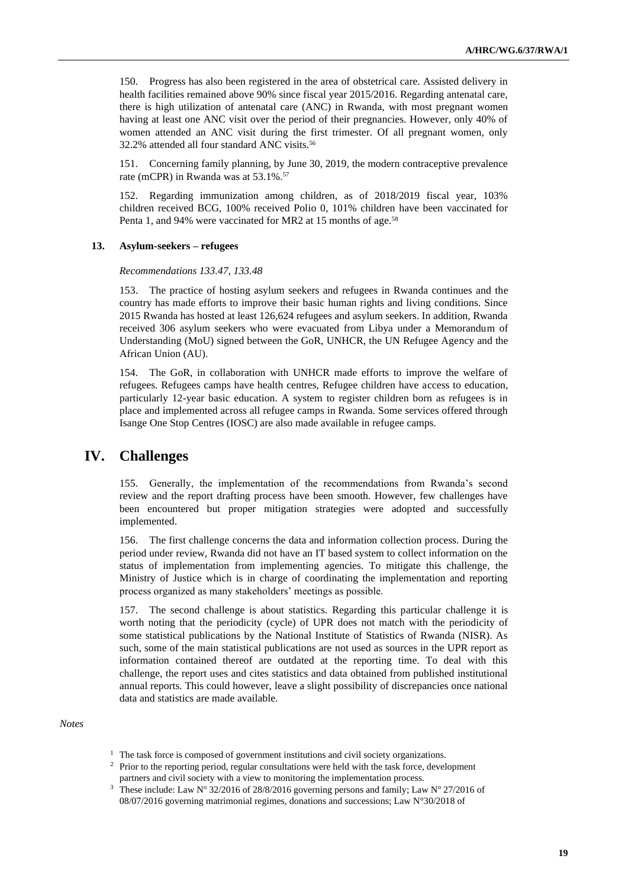150. Progress has also been registered in the area of obstetrical care. Assisted delivery in health facilities remained above 90% since fiscal year 2015/2016. Regarding antenatal care, there is high utilization of antenatal care (ANC) in Rwanda, with most pregnant women having at least one ANC visit over the period of their pregnancies. However, only 40% of women attended an ANC visit during the first trimester. Of all pregnant women, only 32.2% attended all four standard ANC visits.<sup>56</sup>

151. Concerning family planning, by June 30, 2019, the modern contraceptive prevalence rate (mCPR) in Rwanda was at 53.1%.<sup>57</sup>

152. Regarding immunization among children, as of 2018/2019 fiscal year, 103% children received BCG, 100% received Polio 0, 101% children have been vaccinated for Penta 1, and 94% were vaccinated for MR2 at 15 months of age.<sup>58</sup>

#### **13. Asylum-seekers – refugees**

*Recommendations 133.47, 133.48*

153. The practice of hosting asylum seekers and refugees in Rwanda continues and the country has made efforts to improve their basic human rights and living conditions. Since 2015 Rwanda has hosted at least 126,624 refugees and asylum seekers. In addition, Rwanda received 306 asylum seekers who were evacuated from Libya under a Memorandum of Understanding (MoU) signed between the GoR, UNHCR, the UN Refugee Agency and the African Union (AU).

154. The GoR, in collaboration with UNHCR made efforts to improve the welfare of refugees. Refugees camps have health centres, Refugee children have access to education, particularly 12-year basic education. A system to register children born as refugees is in place and implemented across all refugee camps in Rwanda. Some services offered through Isange One Stop Centres (IOSC) are also made available in refugee camps.

## **IV. Challenges**

155. Generally, the implementation of the recommendations from Rwanda's second review and the report drafting process have been smooth. However, few challenges have been encountered but proper mitigation strategies were adopted and successfully implemented.

156. The first challenge concerns the data and information collection process. During the period under review, Rwanda did not have an IT based system to collect information on the status of implementation from implementing agencies. To mitigate this challenge, the Ministry of Justice which is in charge of coordinating the implementation and reporting process organized as many stakeholders' meetings as possible.

157. The second challenge is about statistics. Regarding this particular challenge it is worth noting that the periodicity (cycle) of UPR does not match with the periodicity of some statistical publications by the National Institute of Statistics of Rwanda (NISR). As such, some of the main statistical publications are not used as sources in the UPR report as information contained thereof are outdated at the reporting time. To deal with this challenge, the report uses and cites statistics and data obtained from published institutional annual reports. This could however, leave a slight possibility of discrepancies once national data and statistics are made available.

*Notes*

- <sup>1</sup> The task force is composed of government institutions and civil society organizations.
- <sup>2</sup> Prior to the reporting period, regular consultations were held with the task force, development partners and civil society with a view to monitoring the implementation process.
- <sup>3</sup> These include: Law N° 32/2016 of 28/8/2016 governing persons and family; Law N° 27/2016 of 08/07/2016 governing matrimonial regimes, donations and successions; Law N°30/2018 of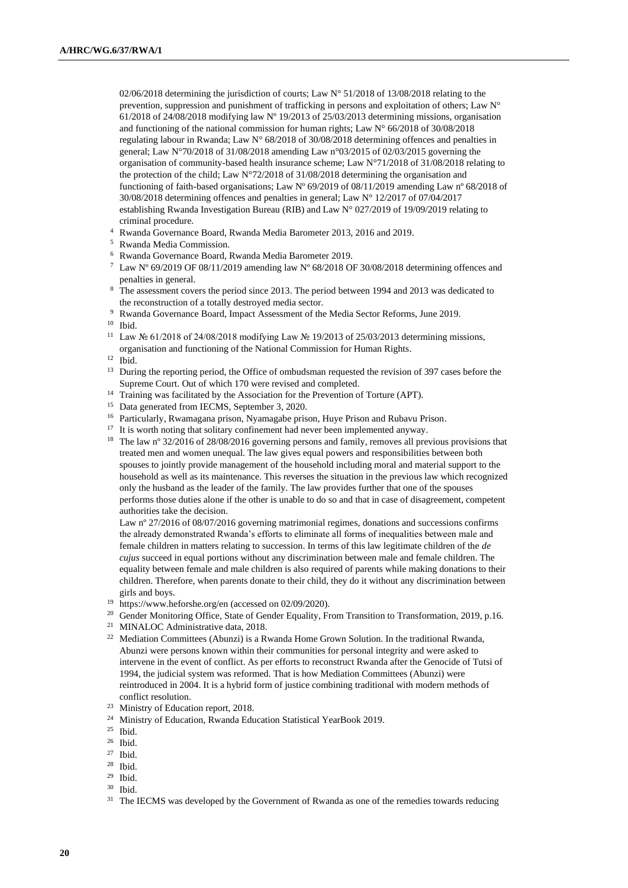02/06/2018 determining the jurisdiction of courts; Law N° 51/2018 of 13/08/2018 relating to the prevention, suppression and punishment of trafficking in persons and exploitation of others; Law N° 61/2018 of 24/08/2018 modifying law Nº 19/2013 of 25/03/2013 determining missions, organisation and functioning of the national commission for human rights; Law N° 66/2018 of 30/08/2018 regulating labour in Rwanda; Law N° 68/2018 of 30/08/2018 determining offences and penalties in general; Law N°70/2018 of 31/08/2018 amending Law n°03/2015 of 02/03/2015 governing the organisation of community-based health insurance scheme; Law  $N^{\circ}71/2018$  of 31/08/2018 relating to the protection of the child; Law N°72/2018 of 31/08/2018 determining the organisation and functioning of faith-based organisations; Law Nº 69/2019 of 08/11/2019 amending Law nº 68/2018 of 30/08/2018 determining offences and penalties in general; Law N° 12/2017 of 07/04/2017 establishing Rwanda Investigation Bureau (RIB) and Law N° 027/2019 of 19/09/2019 relating to criminal procedure.

- <sup>4</sup> Rwanda Governance Board, Rwanda Media Barometer 2013, 2016 and 2019.
- <sup>5</sup> Rwanda Media Commission.
- <sup>6</sup> Rwanda Governance Board, Rwanda Media Barometer 2019.
- <sup>7</sup> Law N° 69/2019 OF 08/11/2019 amending law N° 68/2018 OF 30/08/2018 determining offences and penalties in general.
- <sup>8</sup> The assessment covers the period since 2013. The period between 1994 and 2013 was dedicated to the reconstruction of a totally destroyed media sector.
- <sup>9</sup> Rwanda Governance Board, Impact Assessment of the Media Sector Reforms, June 2019.

<sup>10</sup> Ibid.

- <sup>11</sup> Law № 61/2018 of 24/08/2018 modifying Law № 19/2013 of 25/03/2013 determining missions, organisation and functioning of the National Commission for Human Rights.
- <sup>12</sup> Ibid.
- <sup>13</sup> During the reporting period, the Office of ombudsman requested the revision of 397 cases before the Supreme Court. Out of which 170 were revised and completed.
- <sup>14</sup> Training was facilitated by the Association for the Prevention of Torture (APT).
- <sup>15</sup> Data generated from IECMS, September 3, 2020.
- <sup>16</sup> Particularly, Rwamagana prison, Nyamagabe prison, Huye Prison and Rubavu Prison.
- <sup>17</sup> It is worth noting that solitary confinement had never been implemented anyway.
- <sup>18</sup> The law n° 32/2016 of 28/08/2016 governing persons and family, removes all previous provisions that treated men and women unequal. The law gives equal powers and responsibilities between both spouses to jointly provide management of the household including moral and material support to the household as well as its maintenance. This reverses the situation in the previous law which recognized only the husband as the leader of the family. The law provides further that one of the spouses performs those duties alone if the other is unable to do so and that in case of disagreement, competent authorities take the decision.

Law nº 27/2016 of 08/07/2016 governing matrimonial regimes, donations and successions confirms the already demonstrated Rwanda's efforts to eliminate all forms of inequalities between male and female children in matters relating to succession. In terms of this law legitimate children of the *de cujus* succeed in equal portions without any discrimination between male and female children. The equality between female and male children is also required of parents while making donations to their children. Therefore, when parents donate to their child, they do it without any discrimination between girls and boys.

- <sup>19</sup> <https://www.heforshe.org/en> (accessed on 02/09/2020).
- <sup>20</sup> Gender Monitoring Office, State of Gender Equality, From Transition to Transformation, 2019, p.16.
- <sup>21</sup> MINALOC Administrative data, 2018.
- <sup>22</sup> Mediation Committees (Abunzi) is a Rwanda Home Grown Solution. In the traditional Rwanda, Abunzi were persons known within their communities for personal integrity and were asked to intervene in the event of conflict. As per efforts to reconstruct Rwanda after the Genocide of Tutsi of 1994, the judicial system was reformed. That is how Mediation Committees (Abunzi) were reintroduced in 2004. It is a hybrid form of justice combining traditional with modern methods of conflict resolution.
- <sup>23</sup> Ministry of Education report, 2018.
- <sup>24</sup> Ministry of Education, Rwanda Education Statistical YearBook 2019.
- <sup>25</sup> Ibid.
- <sup>26</sup> Ibid.
- <sup>27</sup> Ibid.
- <sup>28</sup> Ibid.
- <sup>29</sup> Ibid.
- <sup>30</sup> Ibid.
- <sup>31</sup> The IECMS was developed by the Government of Rwanda as one of the remedies towards reducing